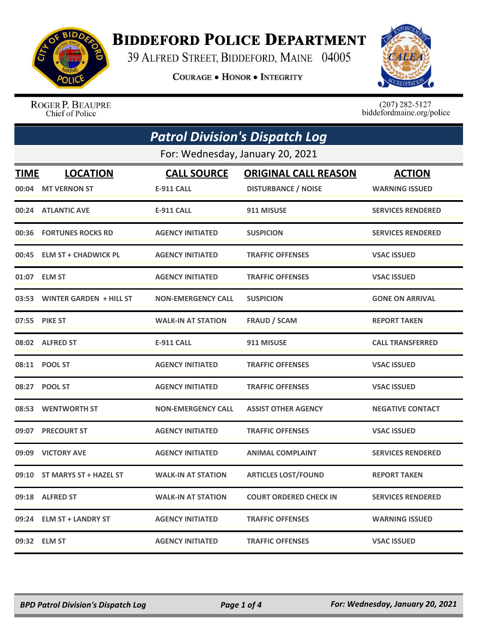

## **BIDDEFORD POLICE DEPARTMENT**

39 ALFRED STREET, BIDDEFORD, MAINE 04005

COURAGE . HONOR . INTEGRITY



ROGER P. BEAUPRE Chief of Police

 $(207)$  282-5127<br>biddefordmaine.org/police

| <b>Patrol Division's Dispatch Log</b> |                               |                           |                               |                          |  |
|---------------------------------------|-------------------------------|---------------------------|-------------------------------|--------------------------|--|
| For: Wednesday, January 20, 2021      |                               |                           |                               |                          |  |
| <b>TIME</b>                           | <b>LOCATION</b>               | <b>CALL SOURCE</b>        | <b>ORIGINAL CALL REASON</b>   | <b>ACTION</b>            |  |
| 00:04                                 | <b>MT VERNON ST</b>           | <b>E-911 CALL</b>         | <b>DISTURBANCE / NOISE</b>    | <b>WARNING ISSUED</b>    |  |
|                                       | 00:24 ATLANTIC AVE            | <b>E-911 CALL</b>         | 911 MISUSE                    | <b>SERVICES RENDERED</b> |  |
| 00:36                                 | <b>FORTUNES ROCKS RD</b>      | <b>AGENCY INITIATED</b>   | <b>SUSPICION</b>              | <b>SERVICES RENDERED</b> |  |
|                                       | 00:45 ELM ST + CHADWICK PL    | <b>AGENCY INITIATED</b>   | <b>TRAFFIC OFFENSES</b>       | <b>VSAC ISSUED</b>       |  |
|                                       | 01:07 ELM ST                  | <b>AGENCY INITIATED</b>   | <b>TRAFFIC OFFENSES</b>       | <b>VSAC ISSUED</b>       |  |
|                                       | 03:53 WINTER GARDEN + HILL ST | <b>NON-EMERGENCY CALL</b> | <b>SUSPICION</b>              | <b>GONE ON ARRIVAL</b>   |  |
|                                       | 07:55 PIKE ST                 | <b>WALK-IN AT STATION</b> | <b>FRAUD / SCAM</b>           | <b>REPORT TAKEN</b>      |  |
|                                       | 08:02 ALFRED ST               | <b>E-911 CALL</b>         | 911 MISUSE                    | <b>CALL TRANSFERRED</b>  |  |
|                                       | 08:11 POOL ST                 | <b>AGENCY INITIATED</b>   | <b>TRAFFIC OFFENSES</b>       | <b>VSAC ISSUED</b>       |  |
| 08:27                                 | <b>POOL ST</b>                | <b>AGENCY INITIATED</b>   | <b>TRAFFIC OFFENSES</b>       | <b>VSAC ISSUED</b>       |  |
|                                       | 08:53 WENTWORTH ST            | <b>NON-EMERGENCY CALL</b> | <b>ASSIST OTHER AGENCY</b>    | <b>NEGATIVE CONTACT</b>  |  |
| 09:07                                 | <b>PRECOURT ST</b>            | <b>AGENCY INITIATED</b>   | <b>TRAFFIC OFFENSES</b>       | <b>VSAC ISSUED</b>       |  |
| 09:09                                 | <b>VICTORY AVE</b>            | <b>AGENCY INITIATED</b>   | <b>ANIMAL COMPLAINT</b>       | <b>SERVICES RENDERED</b> |  |
|                                       | 09:10 ST MARYS ST + HAZEL ST  | <b>WALK-IN AT STATION</b> | <b>ARTICLES LOST/FOUND</b>    | <b>REPORT TAKEN</b>      |  |
|                                       | 09:18 ALFRED ST               | <b>WALK-IN AT STATION</b> | <b>COURT ORDERED CHECK IN</b> | <b>SERVICES RENDERED</b> |  |
|                                       | 09:24 ELM ST + LANDRY ST      | <b>AGENCY INITIATED</b>   | <b>TRAFFIC OFFENSES</b>       | <b>WARNING ISSUED</b>    |  |
|                                       | 09:32 ELM ST                  | <b>AGENCY INITIATED</b>   | <b>TRAFFIC OFFENSES</b>       | <b>VSAC ISSUED</b>       |  |

*BPD Patrol Division's Dispatch Log Page 1 of 4 For: Wednesday, January 20, 2021*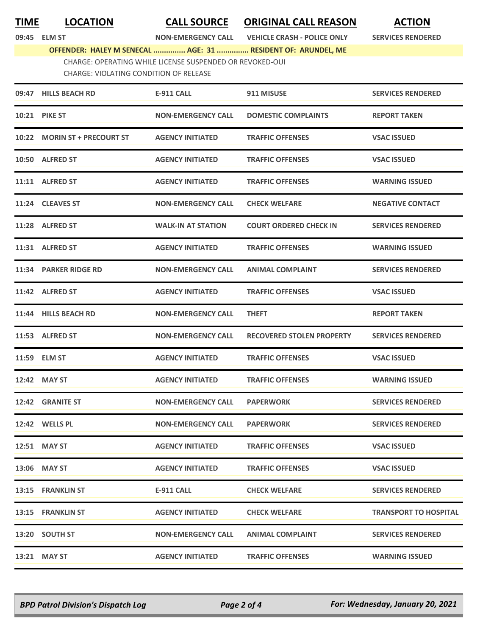**TIME LOCATION CALL SOURCE ORIGINAL CALL REASON ACTION**

**09:45 ELM ST NON-EMERGENCY CALL VEHICLE CRASH - POLICE ONLY SERVICES RENDERED**

**OFFENDER: HALEY M SENECAL ............... AGE: 31 ............... RESIDENT OF: ARUNDEL, ME**

CHARGE: OPERATING WHILE LICENSE SUSPENDED OR REVOKED-OUI CHARGE: VIOLATING CONDITION OF RELEASE

| 09:47 HILLS BEACH RD         | <b>E-911 CALL</b>         | 911 MISUSE                       | <b>SERVICES RENDERED</b>     |
|------------------------------|---------------------------|----------------------------------|------------------------------|
| <b>10:21 PIKE ST</b>         | <b>NON-EMERGENCY CALL</b> | <b>DOMESTIC COMPLAINTS</b>       | <b>REPORT TAKEN</b>          |
| 10:22 MORIN ST + PRECOURT ST | <b>AGENCY INITIATED</b>   | <b>TRAFFIC OFFENSES</b>          | <b>VSAC ISSUED</b>           |
| 10:50 ALFRED ST              | <b>AGENCY INITIATED</b>   | <b>TRAFFIC OFFENSES</b>          | <b>VSAC ISSUED</b>           |
| 11:11 ALFRED ST              | <b>AGENCY INITIATED</b>   | <b>TRAFFIC OFFENSES</b>          | <b>WARNING ISSUED</b>        |
| 11:24 CLEAVES ST             | <b>NON-EMERGENCY CALL</b> | <b>CHECK WELFARE</b>             | <b>NEGATIVE CONTACT</b>      |
| 11:28 ALFRED ST              | <b>WALK-IN AT STATION</b> | <b>COURT ORDERED CHECK IN</b>    | <b>SERVICES RENDERED</b>     |
| 11:31 ALFRED ST              | <b>AGENCY INITIATED</b>   | <b>TRAFFIC OFFENSES</b>          | <b>WARNING ISSUED</b>        |
| 11:34 PARKER RIDGE RD        | <b>NON-EMERGENCY CALL</b> | <b>ANIMAL COMPLAINT</b>          | <b>SERVICES RENDERED</b>     |
| 11:42 ALFRED ST              | <b>AGENCY INITIATED</b>   | <b>TRAFFIC OFFENSES</b>          | <b>VSAC ISSUED</b>           |
| 11:44 HILLS BEACH RD         | <b>NON-EMERGENCY CALL</b> | <b>THEFT</b>                     | <b>REPORT TAKEN</b>          |
| 11:53 ALFRED ST              | <b>NON-EMERGENCY CALL</b> | <b>RECOVERED STOLEN PROPERTY</b> | <b>SERVICES RENDERED</b>     |
| 11:59 ELM ST                 | <b>AGENCY INITIATED</b>   | <b>TRAFFIC OFFENSES</b>          | <b>VSAC ISSUED</b>           |
| 12:42 MAY ST                 | <b>AGENCY INITIATED</b>   | <b>TRAFFIC OFFENSES</b>          | <b>WARNING ISSUED</b>        |
| 12:42 GRANITE ST             | <b>NON-EMERGENCY CALL</b> | <b>PAPERWORK</b>                 | <b>SERVICES RENDERED</b>     |
| 12:42 WELLS PL               | <b>NON-EMERGENCY CALL</b> | <b>PAPERWORK</b>                 | <b>SERVICES RENDERED</b>     |
| 12:51 MAY ST                 | <b>AGENCY INITIATED</b>   | <b>TRAFFIC OFFENSES</b>          | <b>VSAC ISSUED</b>           |
| 13:06 MAY ST                 | <b>AGENCY INITIATED</b>   | <b>TRAFFIC OFFENSES</b>          | <b>VSAC ISSUED</b>           |
| 13:15 FRANKLIN ST            | E-911 CALL                | <b>CHECK WELFARE</b>             | <b>SERVICES RENDERED</b>     |
| 13:15 FRANKLIN ST            | <b>AGENCY INITIATED</b>   | <b>CHECK WELFARE</b>             | <b>TRANSPORT TO HOSPITAL</b> |
| 13:20 SOUTH ST               | <b>NON-EMERGENCY CALL</b> | <b>ANIMAL COMPLAINT</b>          | <b>SERVICES RENDERED</b>     |
| 13:21 MAY ST                 | <b>AGENCY INITIATED</b>   | <b>TRAFFIC OFFENSES</b>          | <b>WARNING ISSUED</b>        |

*BPD Patrol Division's Dispatch Log Page 2 of 4 For: Wednesday, January 20, 2021*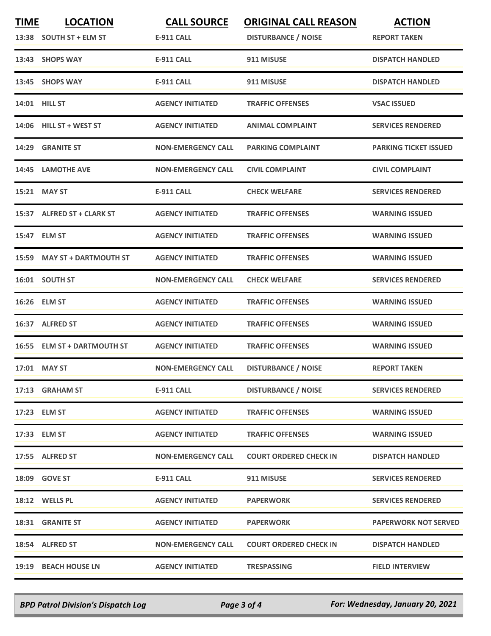| <b>TIME</b> | <b>LOCATION</b><br>13:38 SOUTH ST + ELM ST | <b>CALL SOURCE</b><br><b>E-911 CALL</b> | <b>ORIGINAL CALL REASON</b><br><b>DISTURBANCE / NOISE</b> | <b>ACTION</b><br><b>REPORT TAKEN</b> |
|-------------|--------------------------------------------|-----------------------------------------|-----------------------------------------------------------|--------------------------------------|
|             | 13:43 SHOPS WAY                            | <b>E-911 CALL</b>                       | 911 MISUSE                                                | <b>DISPATCH HANDLED</b>              |
|             | 13:45 SHOPS WAY                            | <b>E-911 CALL</b>                       | 911 MISUSE                                                | <b>DISPATCH HANDLED</b>              |
|             | <b>14:01 HILL ST</b>                       | <b>AGENCY INITIATED</b>                 | <b>TRAFFIC OFFENSES</b>                                   | <b>VSAC ISSUED</b>                   |
|             | 14:06 HILL ST + WEST ST                    | <b>AGENCY INITIATED</b>                 | <b>ANIMAL COMPLAINT</b>                                   | <b>SERVICES RENDERED</b>             |
|             | 14:29 GRANITE ST                           | <b>NON-EMERGENCY CALL</b>               | <b>PARKING COMPLAINT</b>                                  | <b>PARKING TICKET ISSUED</b>         |
| 14:45       | <b>LAMOTHE AVE</b>                         | <b>NON-EMERGENCY CALL</b>               | <b>CIVIL COMPLAINT</b>                                    | <b>CIVIL COMPLAINT</b>               |
|             | 15:21 MAY ST                               | <b>E-911 CALL</b>                       | <b>CHECK WELFARE</b>                                      | <b>SERVICES RENDERED</b>             |
|             | 15:37 ALFRED ST + CLARK ST                 | <b>AGENCY INITIATED</b>                 | <b>TRAFFIC OFFENSES</b>                                   | <b>WARNING ISSUED</b>                |
| 15:47       | <b>ELM ST</b>                              | <b>AGENCY INITIATED</b>                 | <b>TRAFFIC OFFENSES</b>                                   | <b>WARNING ISSUED</b>                |
|             | 15:59 MAY ST + DARTMOUTH ST                | <b>AGENCY INITIATED</b>                 | <b>TRAFFIC OFFENSES</b>                                   | <b>WARNING ISSUED</b>                |
|             | 16:01 SOUTH ST                             | <b>NON-EMERGENCY CALL</b>               | <b>CHECK WELFARE</b>                                      | <b>SERVICES RENDERED</b>             |
|             | 16:26 ELM ST                               | <b>AGENCY INITIATED</b>                 | <b>TRAFFIC OFFENSES</b>                                   | <b>WARNING ISSUED</b>                |
| 16:37       | <b>ALFRED ST</b>                           | <b>AGENCY INITIATED</b>                 | <b>TRAFFIC OFFENSES</b>                                   | <b>WARNING ISSUED</b>                |
|             | 16:55 ELM ST + DARTMOUTH ST                | <b>AGENCY INITIATED</b>                 | <b>TRAFFIC OFFENSES</b>                                   | <b>WARNING ISSUED</b>                |
|             | 17:01 MAY ST                               | <b>NON-EMERGENCY CALL</b>               | <b>DISTURBANCE / NOISE</b>                                | <b>REPORT TAKEN</b>                  |
|             | 17:13 GRAHAM ST                            | <b>E-911 CALL</b>                       | <b>DISTURBANCE / NOISE</b>                                | <b>SERVICES RENDERED</b>             |
|             | 17:23 ELM ST                               | <b>AGENCY INITIATED</b>                 | <b>TRAFFIC OFFENSES</b>                                   | <b>WARNING ISSUED</b>                |
|             | 17:33 ELM ST                               | <b>AGENCY INITIATED</b>                 | <b>TRAFFIC OFFENSES</b>                                   | <b>WARNING ISSUED</b>                |
|             | 17:55 ALFRED ST                            | <b>NON-EMERGENCY CALL</b>               | <b>COURT ORDERED CHECK IN</b>                             | <b>DISPATCH HANDLED</b>              |
|             | 18:09 GOVE ST                              | <b>E-911 CALL</b>                       | 911 MISUSE                                                | <b>SERVICES RENDERED</b>             |
|             | 18:12 WELLS PL                             | <b>AGENCY INITIATED</b>                 | <b>PAPERWORK</b>                                          | <b>SERVICES RENDERED</b>             |
|             | 18:31 GRANITE ST                           | <b>AGENCY INITIATED</b>                 | <b>PAPERWORK</b>                                          | <b>PAPERWORK NOT SERVED</b>          |
|             | 18:54 ALFRED ST                            | <b>NON-EMERGENCY CALL</b>               | <b>COURT ORDERED CHECK IN</b>                             | <b>DISPATCH HANDLED</b>              |
|             | 19:19 BEACH HOUSE LN                       | <b>AGENCY INITIATED</b>                 | TRESPASSING                                               | <b>FIELD INTERVIEW</b>               |

*BPD Patrol Division's Dispatch Log Page 3 of 4 For: Wednesday, January 20, 2021*